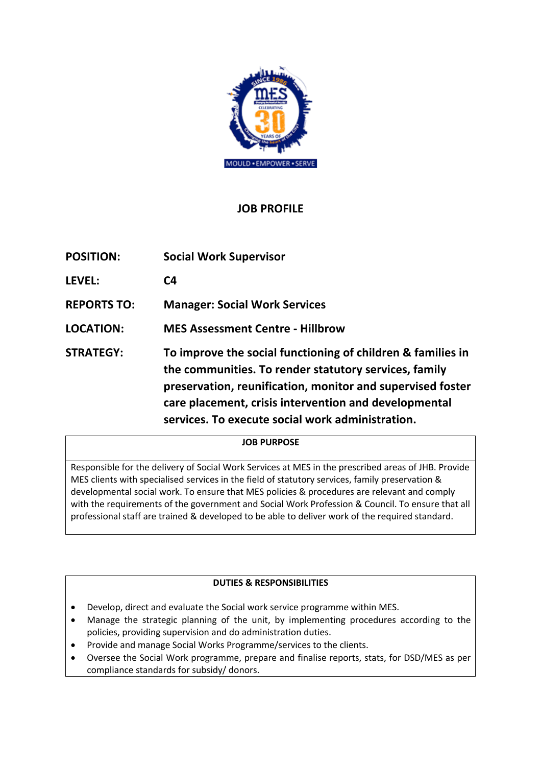

# **JOB PROFILE**

| <b>POSITION:</b>   | <b>Social Work Supervisor</b>                                                                                                                                                                                                                                                                   |
|--------------------|-------------------------------------------------------------------------------------------------------------------------------------------------------------------------------------------------------------------------------------------------------------------------------------------------|
| <b>LEVEL:</b>      | C4                                                                                                                                                                                                                                                                                              |
| <b>REPORTS TO:</b> | <b>Manager: Social Work Services</b>                                                                                                                                                                                                                                                            |
| <b>LOCATION:</b>   | <b>MES Assessment Centre - Hillbrow</b>                                                                                                                                                                                                                                                         |
| <b>STRATEGY:</b>   | To improve the social functioning of children & families in<br>the communities. To render statutory services, family<br>preservation, reunification, monitor and supervised foster<br>care placement, crisis intervention and developmental<br>services. To execute social work administration. |

### **JOB PURPOSE**

Responsible for the delivery of Social Work Services at MES in the prescribed areas of JHB. Provide MES clients with specialised services in the field of statutory services, family preservation & developmental social work. To ensure that MES policies & procedures are relevant and comply with the requirements of the government and Social Work Profession & Council. To ensure that all professional staff are trained & developed to be able to deliver work of the required standard.

## **DUTIES & RESPONSIBILITIES**

- Develop, direct and evaluate the Social work service programme within MES.
- Manage the strategic planning of the unit, by implementing procedures according to the policies, providing supervision and do administration duties.
- Provide and manage Social Works Programme/services to the clients.
- Oversee the Social Work programme, prepare and finalise reports, stats, for DSD/MES as per compliance standards for subsidy/ donors.